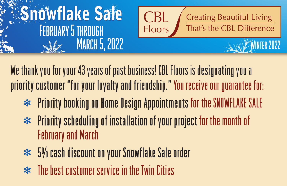

We thank you for your 43 years of past business! CBL Floors is designating you a priority customer "for your loyalty and friendship." You receive our guarantee for:

- $\ast$  Priority booking on Home Design Appointments for the SNOWFLAKE SALE
- $\ast$  Priority scheduling of installation of your project for the month of February and March
- $\approx$  5% cash discount on your Snowflake Sale order
- $\ast$  The best customer service in the Twin Cities